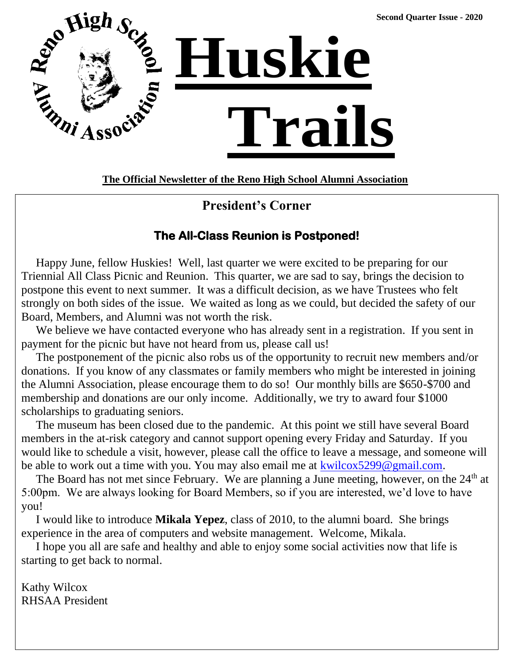

**The Official Newsletter of the Reno High School Alumni Association**

# **President's Corner**

# **The All-Class Reunion is Postponed!**

 Happy June, fellow Huskies! Well, last quarter we were excited to be preparing for our Triennial All Class Picnic and Reunion. This quarter, we are sad to say, brings the decision to postpone this event to next summer. It was a difficult decision, as we have Trustees who felt strongly on both sides of the issue. We waited as long as we could, but decided the safety of our Board, Members, and Alumni was not worth the risk.

We believe we have contacted everyone who has already sent in a registration. If you sent in payment for the picnic but have not heard from us, please call us!

 The postponement of the picnic also robs us of the opportunity to recruit new members and/or donations. If you know of any classmates or family members who might be interested in joining the Alumni Association, please encourage them to do so! Our monthly bills are \$650-\$700 and membership and donations are our only income. Additionally, we try to award four \$1000 scholarships to graduating seniors.

 The museum has been closed due to the pandemic. At this point we still have several Board members in the at-risk category and cannot support opening every Friday and Saturday. If you would like to schedule a visit, however, please call the office to leave a message, and someone will be able to work out a time with you. You may also email me at [kwilcox5299@gmail.com.](mailto:kwilcox5299@gmail.com)

The Board has not met since February. We are planning a June meeting, however, on the  $24<sup>th</sup>$  at 5:00pm. We are always looking for Board Members, so if you are interested, we'd love to have you!

 I would like to introduce **Mikala Yepez**, class of 2010, to the alumni board. She brings experience in the area of computers and website management. Welcome, Mikala.

 I hope you all are safe and healthy and able to enjoy some social activities now that life is starting to get back to normal.

Kathy Wilcox RHSAA President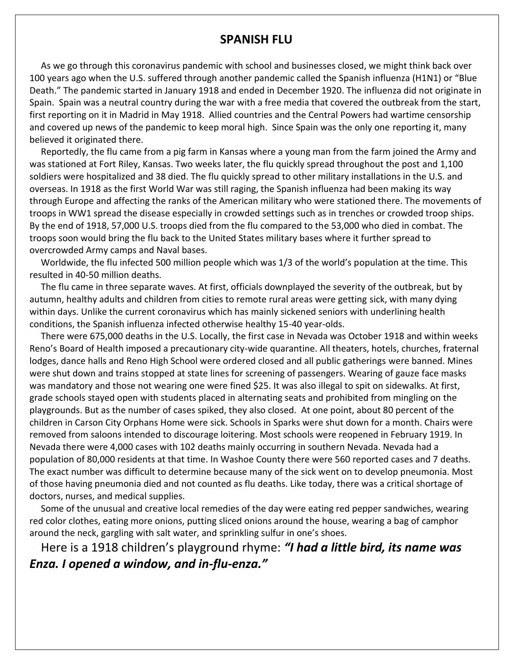#### **SPANISH FLU**

 As we go through this coronavirus pandemic with school and businesses closed, we might think back over 100 years ago when the U.S. suffered through another pandemic called the Spanish influenza (H1N1) or "Blue Death." The pandemic started in January 1918 and ended in December 1920. The influenza did not originate in Spain. Spain was a neutral country during the war with a free media that covered the outbreak from the start, first reporting on it in Madrid in May 1918. Allied countries and the Central Powers had wartime censorship and covered up news of the pandemic to keep moral high. Since Spain was the only one reporting it, many believed it originated there.

 Reportedly, the flu came from a pig farm in Kansas where a young man from the farm joined the Army and was stationed at Fort Riley, Kansas. Two weeks later, the flu quickly spread throughout the post and 1,100 soldiers were hospitalized and 38 died. The flu quickly spread to other military installations in the U.S. and overseas. In 1918 as the first World War was still raging, the Spanish influenza had been making its way through Europe and affecting the ranks of the American military who were stationed there. The movements of troops in WW1 spread the disease especially in crowded settings such as in trenches or crowded troop ships. By the end of 1918, 57,000 U.S. troops died from the flu compared to the 53,000 who died in combat. The troops soon would bring the flu back to the United States military bases where it further spread to overcrowded Army camps and Naval bases.

 Worldwide, the flu infected 500 million people which was 1/3 of the world's population at the time. This resulted in 40-50 million deaths.

 The flu came in three separate waves. At first, officials downplayed the severity of the outbreak, but by autumn, healthy adults and children from cities to remote rural areas were getting sick, with many dying within days. Unlike the current coronavirus which has mainly sickened seniors with underlining health conditions, the Spanish influenza infected otherwise healthy 15-40 year-olds.

 There were 675,000 deaths in the U.S. Locally, the first case in Nevada was October 1918 and within weeks Reno's Board of Health imposed a precautionary city-wide quarantine. All theaters, hotels, churches, fraternal lodges, dance halls and Reno High School were ordered closed and all public gatherings were banned. Mines were shut down and trains stopped at state lines for screening of passengers. Wearing of gauze face masks was mandatory and those not wearing one were fined \$25. It was also illegal to spit on sidewalks. At first, grade schools stayed open with students placed in alternating seats and prohibited from mingling on the playgrounds. But as the number of cases spiked, they also closed. At one point, about 80 percent of the children in Carson City Orphans Home were sick. Schools in Sparks were shut down for a month. Chairs were removed from saloons intended to discourage loitering. Most schools were reopened in February 1919. In Nevada there were 4,000 cases with 102 deaths mainly occurring in southern Nevada. Nevada had a population of 80,000 residents at that time. In Washoe County there were 560 reported cases and 7 deaths. The exact number was difficult to determine because many of the sick went on to develop pneumonia. Most of those having pneumonia died and not counted as flu deaths. Like today, there was a critical shortage of doctors, nurses, and medical supplies.

 Some of the unusual and creative local remedies of the day were eating red pepper sandwiches, wearing red color clothes, eating more onions, putting sliced onions around the house, wearing a bag of camphor around the neck, gargling with salt water, and sprinkling sulfur in one's shoes.

 Here is a 1918 children's playground rhyme: *"I had a little bird, its name was Enza. I opened a window, and in-flu-enza."*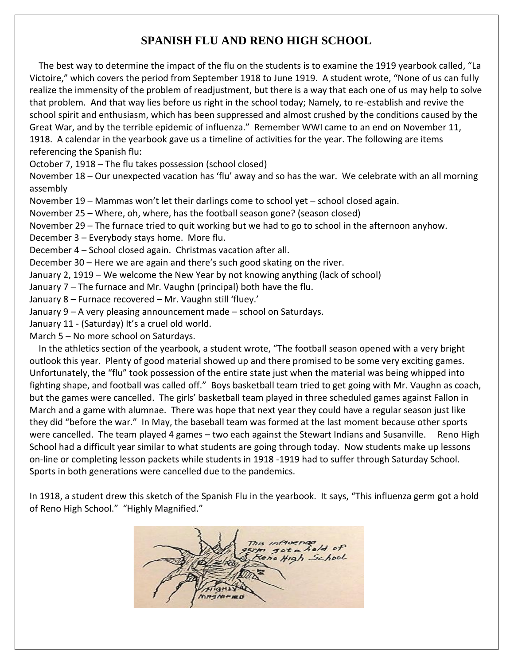# **SPANISH FLU AND RENO HIGH SCHOOL**

The best way to determine the impact of the flu on the students is to examine the 1919 yearbook called, "La Victoire," which covers the period from September 1918 to June 1919. A student wrote, "None of us can fully realize the immensity of the problem of readjustment, but there is a way that each one of us may help to solve that problem. And that way lies before us right in the school today; Namely, to re-establish and revive the school spirit and enthusiasm, which has been suppressed and almost crushed by the conditions caused by the Great War, and by the terrible epidemic of influenza." Remember WWI came to an end on November 11, 1918. A calendar in the yearbook gave us a timeline of activities for the year. The following are items referencing the Spanish flu:

October 7, 1918 – The flu takes possession (school closed)

November 18 – Our unexpected vacation has 'flu' away and so has the war. We celebrate with an all morning assembly

November 19 – Mammas won't let their darlings come to school yet – school closed again.

November 25 – Where, oh, where, has the football season gone? (season closed)

November 29 – The furnace tried to quit working but we had to go to school in the afternoon anyhow.

December 3 – Everybody stays home. More flu.

December 4 – School closed again. Christmas vacation after all.

December 30 – Here we are again and there's such good skating on the river.

January 2, 1919 – We welcome the New Year by not knowing anything (lack of school)

January 7 – The furnace and Mr. Vaughn (principal) both have the flu.

January 8 – Furnace recovered – Mr. Vaughn still 'fluey.'

January 9 – A very pleasing announcement made – school on Saturdays.

January 11 - (Saturday) It's a cruel old world.

March 5 – No more school on Saturdays.

 In the athletics section of the yearbook, a student wrote, "The football season opened with a very bright outlook this year. Plenty of good material showed up and there promised to be some very exciting games. Unfortunately, the "flu" took possession of the entire state just when the material was being whipped into fighting shape, and football was called off." Boys basketball team tried to get going with Mr. Vaughn as coach, but the games were cancelled. The girls' basketball team played in three scheduled games against Fallon in March and a game with alumnae. There was hope that next year they could have a regular season just like they did "before the war." In May, the baseball team was formed at the last moment because other sports were cancelled. The team played 4 games – two each against the Stewart Indians and Susanville. Reno High School had a difficult year similar to what students are going through today. Now students make up lessons on-line or completing lesson packets while students in 1918 -1919 had to suffer through Saturday School. Sports in both generations were cancelled due to the pandemics.

In 1918, a student drew this sketch of the Spanish Flu in the yearbook. It says, "This influenza germ got a hold of Reno High School." "Highly Magnified."

High School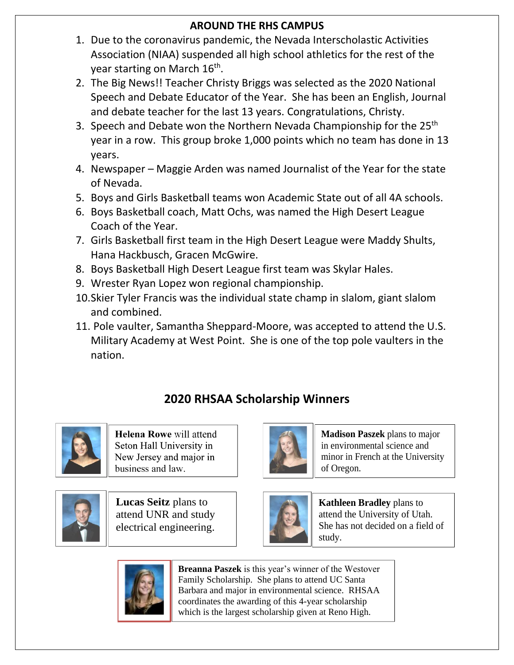# **AROUND THE RHS CAMPUS**

- 1. Due to the coronavirus pandemic, the Nevada Interscholastic Activities Association (NIAA) suspended all high school athletics for the rest of the year starting on March 16<sup>th</sup>.
- 2. The Big News!! Teacher Christy Briggs was selected as the 2020 National Speech and Debate Educator of the Year. She has been an English, Journal and debate teacher for the last 13 years. Congratulations, Christy.
- 3. Speech and Debate won the Northern Nevada Championship for the 25<sup>th</sup> year in a row. This group broke 1,000 points which no team has done in 13 years.
- 4. Newspaper Maggie Arden was named Journalist of the Year for the state of Nevada.
- 5. Boys and Girls Basketball teams won Academic State out of all 4A schools.
- 6. Boys Basketball coach, Matt Ochs, was named the High Desert League Coach of the Year.
- 7. Girls Basketball first team in the High Desert League were Maddy Shults, Hana Hackbusch, Gracen McGwire.
- 8. Boys Basketball High Desert League first team was Skylar Hales.
- 9. Wrester Ryan Lopez won regional championship.
- 10.Skier Tyler Francis was the individual state champ in slalom, giant slalom and combined.
- 11. Pole vaulter, Samantha Sheppard-Moore, was accepted to attend the U.S. Military Academy at West Point. She is one of the top pole vaulters in the nation.

# **2020 RHSAA Scholarship Winners**



Helena Rowe will attend Seton Hall University in New Jersey and major in business and law.



**Lucas Seitz** plans to attend UNR and study electrical engineering.



**Madison Paszek** plans to major in environmental science and minor in French at the University of Oregon.



**Kathleen Bradley** plans to attend the University of Utah. She has not decided on a field of study.



**Breanna Paszek** is this year's winner of the Westover Family Scholarship. She plans to attend UC Santa Barbara and major in environmental science. RHSAA coordinates the awarding of this 4-year scholarship which is the largest scholarship given at Reno High.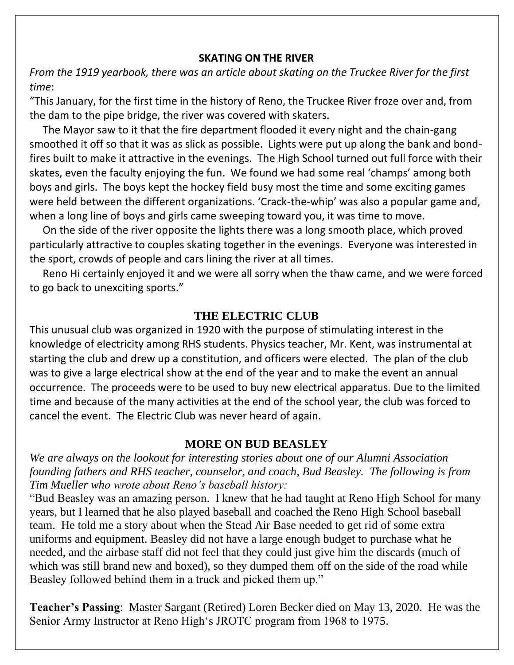### **SKATING ON THE RIVER**

*From the 1919 yearbook, there was an article about skating on the Truckee River for the first time*:

"This January, for the first time in the history of Reno, the Truckee River froze over and, from the dam to the pipe bridge, the river was covered with skaters.

 The Mayor saw to it that the fire department flooded it every night and the chain-gang smoothed it off so that it was as slick as possible. Lights were put up along the bank and bondfires built to make it attractive in the evenings. The High School turned out full force with their skates, even the faculty enjoying the fun. We found we had some real 'champs' among both boys and girls. The boys kept the hockey field busy most the time and some exciting games were held between the different organizations. 'Crack-the-whip' was also a popular game and, when a long line of boys and girls came sweeping toward you, it was time to move.

 On the side of the river opposite the lights there was a long smooth place, which proved particularly attractive to couples skating together in the evenings. Everyone was interested in the sport, crowds of people and cars lining the river at all times.

 Reno Hi certainly enjoyed it and we were all sorry when the thaw came, and we were forced to go back to unexciting sports."

## **THE ELECTRIC CLUB**

This unusual club was organized in 1920 with the purpose of stimulating interest in the knowledge of electricity among RHS students. Physics teacher, Mr. Kent, was instrumental at starting the club and drew up a constitution, and officers were elected. The plan of the club was to give a large electrical show at the end of the year and to make the event an annual occurrence. The proceeds were to be used to buy new electrical apparatus. Due to the limited time and because of the many activities at the end of the school year, the club was forced to cancel the event. The Electric Club was never heard of again.

## **MORE ON BUD BEASLEY**

*We are always on the lookout for interesting stories about one of our Alumni Association founding fathers and RHS teacher, counselor, and coach, Bud Beasley. The following is from Tim Mueller who wrote about Reno's baseball history:*

"Bud Beasley was an amazing person. I knew that he had taught at Reno High School for many years, but I learned that he also played baseball and coached the Reno High School baseball team. He told me a story about when the Stead Air Base needed to get rid of some extra uniforms and equipment. Beasley did not have a large enough budget to purchase what he needed, and the airbase staff did not feel that they could just give him the discards (much of which was still brand new and boxed), so they dumped them off on the side of the road while Beasley followed behind them in a truck and picked them up."

**Teacher's Passing**: Master Sargant (Retired) Loren Becker died on May 13, 2020. He was the Senior Army Instructor at Reno High's JROTC program from 1968 to 1975.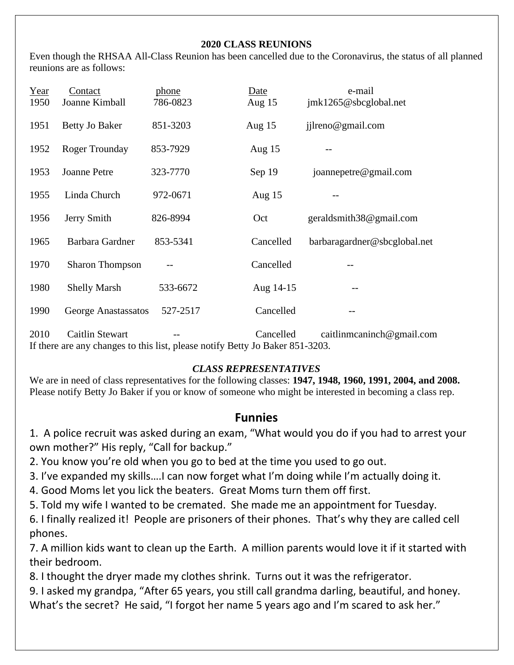#### **2020 CLASS REUNIONS**

Even though the RHSAA All-Class Reunion has been cancelled due to the Coronavirus, the status of all planned reunions are as follows:

| Year | Contact                | phone                                                                         | Date      | e-mail                       |
|------|------------------------|-------------------------------------------------------------------------------|-----------|------------------------------|
| 1950 | Joanne Kimball         | 786-0823                                                                      | Aug $15$  | jmk1265@sbcglobal.net        |
| 1951 | Betty Jo Baker         | 851-3203                                                                      | Aug $15$  | jilreno@gmail.com            |
| 1952 | <b>Roger Trounday</b>  | 853-7929                                                                      | Aug $15$  |                              |
| 1953 | <b>Joanne Petre</b>    | 323-7770                                                                      | Sep 19    | joannepetre@gmail.com        |
| 1955 | Linda Church           | 972-0671                                                                      | Aug $15$  |                              |
| 1956 | Jerry Smith            | 826-8994                                                                      | Oct       | geraldsmith38@gmail.com      |
| 1965 | <b>Barbara Gardner</b> | 853-5341                                                                      | Cancelled | barbaragardner@sbcglobal.net |
| 1970 | <b>Sharon Thompson</b> |                                                                               | Cancelled |                              |
| 1980 | <b>Shelly Marsh</b>    | 533-6672                                                                      | Aug 14-15 |                              |
| 1990 | George Anastassatos    | 527-2517                                                                      | Cancelled |                              |
| 2010 | <b>Caitlin Stewart</b> | If there are any changes to this list, please notify Betty Jo Baker 851-3203. | Cancelled | caitlinmcaninch@gmail.com    |

#### *CLASS REPRESENTATIVES*

We are in need of class representatives for the following classes: **1947, 1948, 1960, 1991, 2004, and 2008.** Please notify Betty Jo Baker if you or know of someone who might be interested in becoming a class rep.

## **Funnies**

1. A police recruit was asked during an exam, "What would you do if you had to arrest your own mother?" His reply, "Call for backup."

- 2. You know you're old when you go to bed at the time you used to go out.
- 3. I've expanded my skills….I can now forget what I'm doing while I'm actually doing it.
- 4. Good Moms let you lick the beaters. Great Moms turn them off first.
- 5. Told my wife I wanted to be cremated. She made me an appointment for Tuesday.

6. I finally realized it! People are prisoners of their phones. That's why they are called cell phones.

7. A million kids want to clean up the Earth. A million parents would love it if it started with their bedroom.

8. I thought the dryer made my clothes shrink. Turns out it was the refrigerator.

9. I asked my grandpa, "After 65 years, you still call grandma darling, beautiful, and honey. What's the secret? He said, "I forgot her name 5 years ago and I'm scared to ask her."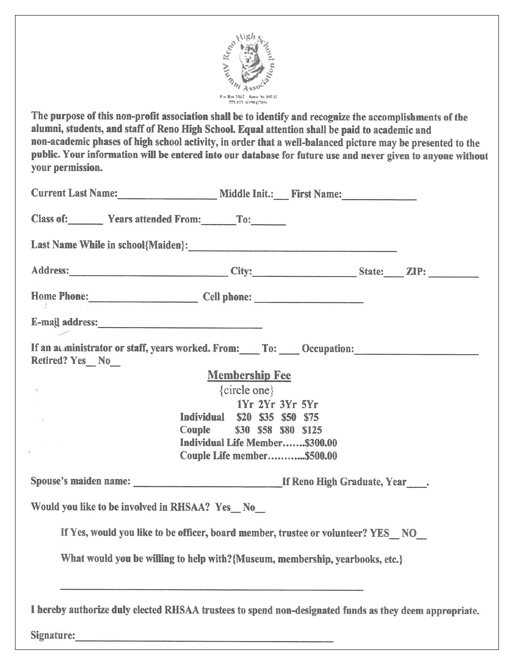

The purpose of this non-profit association shall be to identify and recognize the accomplishments of the alumni, students, and staff of Reno High School. Equal attention shall be paid to academic and non-academic phases of high school activity, in order that a well-balanced picture may be presented to the public. Your information will be entered into our database for future use and never given to anyone without your permission.

| Current Last Name: Middle Init.: First Name:                                                                                                                      |                                |  |  |  |  |  |  |
|-------------------------------------------------------------------------------------------------------------------------------------------------------------------|--------------------------------|--|--|--|--|--|--|
| Class of: Years attended From: To:                                                                                                                                |                                |  |  |  |  |  |  |
|                                                                                                                                                                   |                                |  |  |  |  |  |  |
|                                                                                                                                                                   |                                |  |  |  |  |  |  |
| Home Phone: Cell phone: Cell phone:                                                                                                                               |                                |  |  |  |  |  |  |
| E-mail address:                                                                                                                                                   |                                |  |  |  |  |  |  |
| If an acministrator or staff, years worked. From: To: Cocupation: Community of an acministrator or staff, years worked. From: To: Cocupation:<br>Retired? Yes_No_ |                                |  |  |  |  |  |  |
|                                                                                                                                                                   | <b>Membership Fee</b>          |  |  |  |  |  |  |
| $\rightarrow$                                                                                                                                                     | $\{circle one\}$               |  |  |  |  |  |  |
|                                                                                                                                                                   | 1Yr 2Yr 3Yr 5Yr                |  |  |  |  |  |  |
|                                                                                                                                                                   | Individual \$20 \$35 \$50 \$75 |  |  |  |  |  |  |
|                                                                                                                                                                   | Couple \$30 \$58 \$80 \$125    |  |  |  |  |  |  |
|                                                                                                                                                                   | Individual Life Member\$300.00 |  |  |  |  |  |  |
|                                                                                                                                                                   | Couple Life member\$500.00     |  |  |  |  |  |  |
|                                                                                                                                                                   |                                |  |  |  |  |  |  |
| Would you like to be involved in RHSAA? Yes No                                                                                                                    |                                |  |  |  |  |  |  |
| If Yes, would you like to be officer, board member, trustee or volunteer? YES NO                                                                                  |                                |  |  |  |  |  |  |
| What would you be willing to help with?{Museum, membership, yearbooks, etc.}                                                                                      |                                |  |  |  |  |  |  |
| I hereby authorize duly elected RHSAA trustees to spend non-designated funds as they deem appropriate.                                                            |                                |  |  |  |  |  |  |
| Signature:                                                                                                                                                        |                                |  |  |  |  |  |  |